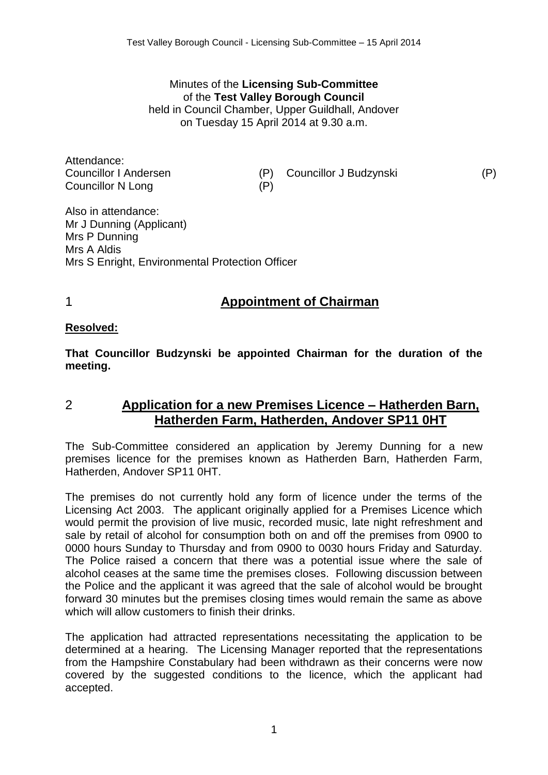Minutes of the **Licensing Sub-Committee** of the **Test Valley Borough Council** held in Council Chamber, Upper Guildhall, Andover

on Tuesday 15 April 2014 at 9.30 a.m.

Attendance: Councillor N Long (P)

Councillor I Andersen (P) Councillor J Budzynski (P)

Also in attendance: Mr J Dunning (Applicant) Mrs P Dunning Mrs A Aldis Mrs S Enright, Environmental Protection Officer

# 1 **Appointment of Chairman**

#### **Resolved:**

**That Councillor Budzynski be appointed Chairman for the duration of the meeting.**

## 2 **Application for a new Premises Licence – Hatherden Barn, Hatherden Farm, Hatherden, Andover SP11 0HT**

The Sub-Committee considered an application by Jeremy Dunning for a new premises licence for the premises known as Hatherden Barn, Hatherden Farm, Hatherden, Andover SP11 0HT.

The premises do not currently hold any form of licence under the terms of the Licensing Act 2003. The applicant originally applied for a Premises Licence which would permit the provision of live music, recorded music, late night refreshment and sale by retail of alcohol for consumption both on and off the premises from 0900 to 0000 hours Sunday to Thursday and from 0900 to 0030 hours Friday and Saturday. The Police raised a concern that there was a potential issue where the sale of alcohol ceases at the same time the premises closes. Following discussion between the Police and the applicant it was agreed that the sale of alcohol would be brought forward 30 minutes but the premises closing times would remain the same as above which will allow customers to finish their drinks.

The application had attracted representations necessitating the application to be determined at a hearing. The Licensing Manager reported that the representations from the Hampshire Constabulary had been withdrawn as their concerns were now covered by the suggested conditions to the licence, which the applicant had accepted.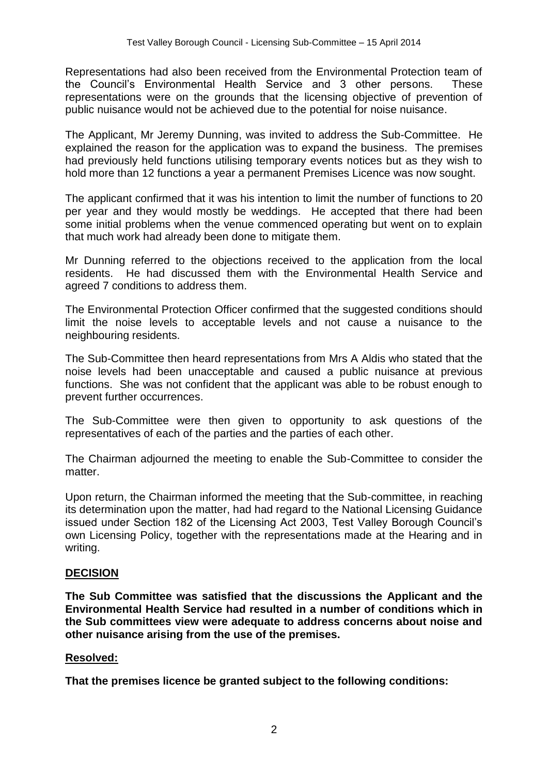Representations had also been received from the Environmental Protection team of the Council's Environmental Health Service and 3 other persons. These representations were on the grounds that the licensing objective of prevention of public nuisance would not be achieved due to the potential for noise nuisance.

The Applicant, Mr Jeremy Dunning, was invited to address the Sub-Committee. He explained the reason for the application was to expand the business. The premises had previously held functions utilising temporary events notices but as they wish to hold more than 12 functions a year a permanent Premises Licence was now sought.

The applicant confirmed that it was his intention to limit the number of functions to 20 per year and they would mostly be weddings. He accepted that there had been some initial problems when the venue commenced operating but went on to explain that much work had already been done to mitigate them.

Mr Dunning referred to the objections received to the application from the local residents. He had discussed them with the Environmental Health Service and agreed 7 conditions to address them.

The Environmental Protection Officer confirmed that the suggested conditions should limit the noise levels to acceptable levels and not cause a nuisance to the neighbouring residents.

The Sub-Committee then heard representations from Mrs A Aldis who stated that the noise levels had been unacceptable and caused a public nuisance at previous functions. She was not confident that the applicant was able to be robust enough to prevent further occurrences.

The Sub-Committee were then given to opportunity to ask questions of the representatives of each of the parties and the parties of each other.

The Chairman adjourned the meeting to enable the Sub-Committee to consider the matter.

Upon return, the Chairman informed the meeting that the Sub-committee, in reaching its determination upon the matter, had had regard to the National Licensing Guidance issued under Section 182 of the Licensing Act 2003, Test Valley Borough Council's own Licensing Policy, together with the representations made at the Hearing and in writing.

### **DECISION**

**The Sub Committee was satisfied that the discussions the Applicant and the Environmental Health Service had resulted in a number of conditions which in the Sub committees view were adequate to address concerns about noise and other nuisance arising from the use of the premises.**

### **Resolved:**

**That the premises licence be granted subject to the following conditions:**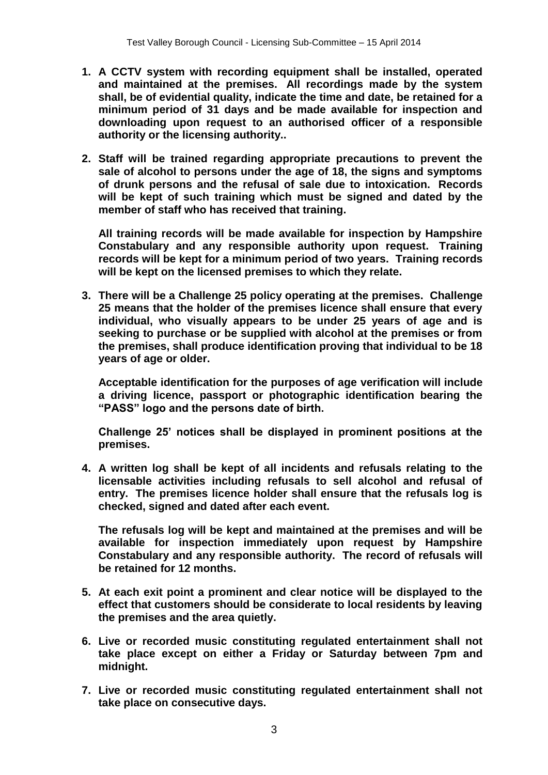- **1. A CCTV system with recording equipment shall be installed, operated and maintained at the premises. All recordings made by the system shall, be of evidential quality, indicate the time and date, be retained for a minimum period of 31 days and be made available for inspection and downloading upon request to an authorised officer of a responsible authority or the licensing authority..**
- **2. Staff will be trained regarding appropriate precautions to prevent the sale of alcohol to persons under the age of 18, the signs and symptoms of drunk persons and the refusal of sale due to intoxication. Records will be kept of such training which must be signed and dated by the member of staff who has received that training.**

**All training records will be made available for inspection by Hampshire Constabulary and any responsible authority upon request. Training records will be kept for a minimum period of two years. Training records will be kept on the licensed premises to which they relate.**

**3. There will be a Challenge 25 policy operating at the premises. Challenge 25 means that the holder of the premises licence shall ensure that every individual, who visually appears to be under 25 years of age and is seeking to purchase or be supplied with alcohol at the premises or from the premises, shall produce identification proving that individual to be 18 years of age or older.** 

**Acceptable identification for the purposes of age verification will include a driving licence, passport or photographic identification bearing the "PASS" logo and the persons date of birth.**

**Challenge 25' notices shall be displayed in prominent positions at the premises.**

**4. A written log shall be kept of all incidents and refusals relating to the licensable activities including refusals to sell alcohol and refusal of entry. The premises licence holder shall ensure that the refusals log is checked, signed and dated after each event.**

**The refusals log will be kept and maintained at the premises and will be available for inspection immediately upon request by Hampshire Constabulary and any responsible authority. The record of refusals will be retained for 12 months.**

- **5. At each exit point a prominent and clear notice will be displayed to the effect that customers should be considerate to local residents by leaving the premises and the area quietly.**
- **6. Live or recorded music constituting regulated entertainment shall not take place except on either a Friday or Saturday between 7pm and midnight.**
- **7. Live or recorded music constituting regulated entertainment shall not take place on consecutive days.**